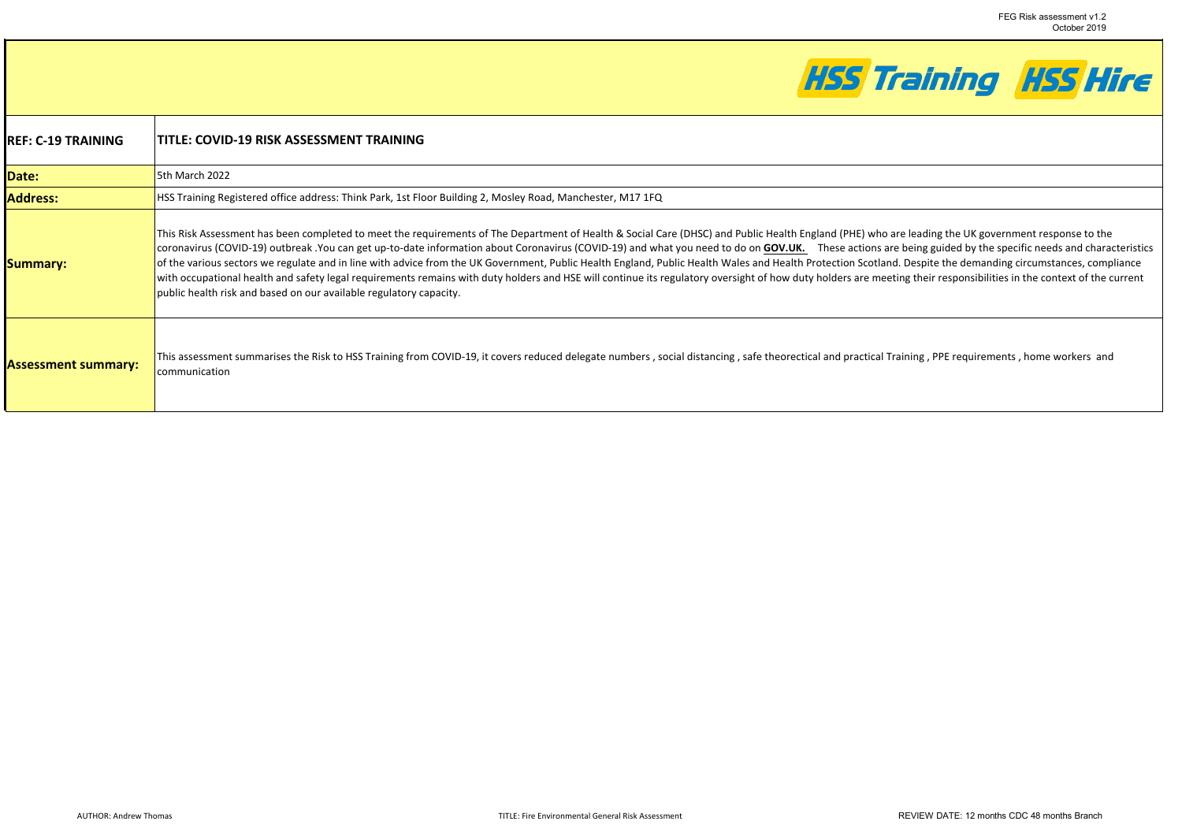

| IREF: C-19 TRAINING        | TITLE: COVID-19 RISK ASSESSMENT TRAINING                                                                                                                                                                                                                                                                                                                                                                                                                                                                                                                                                                                                                                                                                                                                                                                                                                                                                          |
|----------------------------|-----------------------------------------------------------------------------------------------------------------------------------------------------------------------------------------------------------------------------------------------------------------------------------------------------------------------------------------------------------------------------------------------------------------------------------------------------------------------------------------------------------------------------------------------------------------------------------------------------------------------------------------------------------------------------------------------------------------------------------------------------------------------------------------------------------------------------------------------------------------------------------------------------------------------------------|
| Date:                      | 5th March 2022                                                                                                                                                                                                                                                                                                                                                                                                                                                                                                                                                                                                                                                                                                                                                                                                                                                                                                                    |
| <b>Address:</b>            | HSS Training Registered office address: Think Park, 1st Floor Building 2, Mosley Road, Manchester, M17 1FQ                                                                                                                                                                                                                                                                                                                                                                                                                                                                                                                                                                                                                                                                                                                                                                                                                        |
| <b>Summary:</b>            | This Risk Assessment has been completed to meet the requirements of The Department of Health & Social Care (DHSC) and Public Health England (PHE) who are leading the UK government response to the<br>coronavirus (COVID-19) outbreak You can get up-to-date information about Coronavirus (COVID-19) and what you need to do on GOV.UK. These actions are being guided by the specific needs and characteristics<br>of the various sectors we regulate and in line with advice from the UK Government, Public Health England, Public Health Wales and Health Protection Scotland. Despite the demanding circumstances, compliance<br>with occupational health and safety legal requirements remains with duty holders and HSE will continue its regulatory oversight of how duty holders are meeting their responsibilities in the context of the current<br>public health risk and based on our available regulatory capacity. |
| <b>Assessment summary:</b> | This assessment summarises the Risk to HSS Training from COVID-19, it covers reduced delegate numbers, social distancing, safe theorectical and practical Training, PPE requirements, home workers and<br>communication                                                                                                                                                                                                                                                                                                                                                                                                                                                                                                                                                                                                                                                                                                           |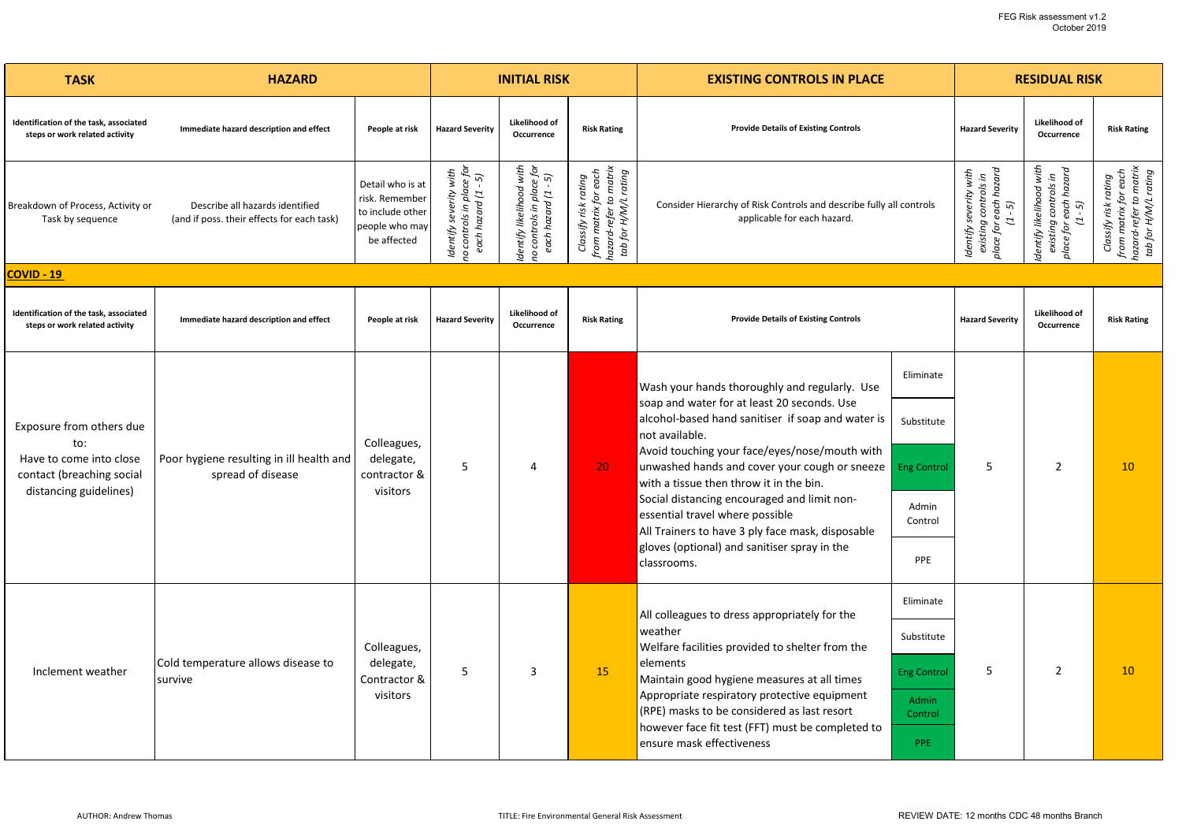| <b>TASK</b>                                                                    | <b>HAZARD</b>                                                                 |                                                                                         | <b>INITIAL RISK</b>                                                             |                                                                                  |                                                                                                | <b>EXISTING CONTROLS IN PLACE</b>                                                                                                                                                                                              |                                                                     | <b>RESIDUAL RISK</b>   |                                                                                     |                                                                                                |
|--------------------------------------------------------------------------------|-------------------------------------------------------------------------------|-----------------------------------------------------------------------------------------|---------------------------------------------------------------------------------|----------------------------------------------------------------------------------|------------------------------------------------------------------------------------------------|--------------------------------------------------------------------------------------------------------------------------------------------------------------------------------------------------------------------------------|---------------------------------------------------------------------|------------------------|-------------------------------------------------------------------------------------|------------------------------------------------------------------------------------------------|
| Identification of the task, associated<br>steps or work related activity       | Immediate hazard description and effect                                       | People at risk                                                                          | <b>Hazard Severity</b>                                                          | Likelihood of<br>Occurrence                                                      | <b>Risk Rating</b>                                                                             | <b>Provide Details of Existing Controls</b>                                                                                                                                                                                    |                                                                     | <b>Hazard Severity</b> | Likelihood of<br>Occurrence                                                         | <b>Risk Rating</b>                                                                             |
| Breakdown of Process, Activity or<br>Task by sequence                          | Describe all hazards identified<br>(and if poss. their effects for each task) | Detail who is at<br>risk. Remember<br>to include other<br>people who may<br>be affected | to controls in place for<br>with<br>each hazard (1 - 5)<br>severity<br>Identify | dentify likelihood with<br>place for<br>- 5)<br>each hazard (1<br>no controls in | from matrix for each<br>hazard-refer to matrix<br>tab for H/M/L rating<br>Classify risk rating | applicable for each hazard.                                                                                                                                                                                                    | Consider Hierarchy of Risk Controls and describe fully all controls |                        | dentify likelihood with<br>place for each hazard<br>(1 - 5)<br>existing controls in | hazard-refer to matrix<br>tab for H/M/L rating<br>from matrix for each<br>Classify risk rating |
| COVID - 19                                                                     |                                                                               |                                                                                         |                                                                                 |                                                                                  |                                                                                                |                                                                                                                                                                                                                                |                                                                     |                        |                                                                                     |                                                                                                |
| Identification of the task, associated<br>steps or work related activity       | Immediate hazard description and effect                                       | People at risk                                                                          | <b>Hazard Severity</b>                                                          | Likelihood of<br>Occurrence                                                      | <b>Risk Rating</b>                                                                             | <b>Provide Details of Existing Controls</b>                                                                                                                                                                                    |                                                                     |                        | Likelihood of<br>Occurrence                                                         | <b>Risk Rating</b>                                                                             |
| Exposure from others due<br>to:                                                | Poor hygiene resulting in ill health and<br>spread of disease                 | Colleagues,<br>delegate,<br>contractor &<br>visitors                                    |                                                                                 |                                                                                  |                                                                                                | Wash your hands thoroughly and regularly. Use                                                                                                                                                                                  | Eliminate                                                           |                        |                                                                                     |                                                                                                |
|                                                                                |                                                                               |                                                                                         |                                                                                 |                                                                                  |                                                                                                | soap and water for at least 20 seconds. Use<br>alcohol-based hand sanitiser if soap and water is<br>not available.<br>Avoid touching your face/eyes/nose/mouth with                                                            | Substitute                                                          |                        |                                                                                     |                                                                                                |
| Have to come into close<br>contact (breaching social<br>distancing guidelines) |                                                                               |                                                                                         | 5                                                                               | 4                                                                                | 20 <sub>1</sub>                                                                                | unwashed hands and cover your cough or sneeze<br>with a tissue then throw it in the bin.<br>Social distancing encouraged and limit non-<br>essential travel where possible<br>All Trainers to have 3 ply face mask, disposable | <b>Eng Control</b>                                                  | 5                      | $\overline{2}$                                                                      | 10                                                                                             |
|                                                                                |                                                                               |                                                                                         |                                                                                 |                                                                                  |                                                                                                |                                                                                                                                                                                                                                | Admin<br>Control                                                    |                        |                                                                                     |                                                                                                |
|                                                                                |                                                                               |                                                                                         |                                                                                 |                                                                                  |                                                                                                | gloves (optional) and sanitiser spray in the<br>classrooms.                                                                                                                                                                    | PPE                                                                 |                        |                                                                                     |                                                                                                |
|                                                                                |                                                                               |                                                                                         |                                                                                 |                                                                                  |                                                                                                | All colleagues to dress appropriately for the                                                                                                                                                                                  | Eliminate                                                           |                        |                                                                                     |                                                                                                |
|                                                                                |                                                                               | Colleagues,                                                                             |                                                                                 |                                                                                  |                                                                                                | weather<br>Welfare facilities provided to shelter from the                                                                                                                                                                     | Substitute                                                          |                        |                                                                                     |                                                                                                |
| Inclement weather                                                              | Cold temperature allows disease to<br>survive                                 | delegate,<br>Contractor &                                                               | 5                                                                               | 3                                                                                | 15                                                                                             | elements<br>Maintain good hygiene measures at all times                                                                                                                                                                        | <b>Eng Control</b>                                                  | 5                      | $\overline{2}$                                                                      | 10                                                                                             |
|                                                                                |                                                                               | visitors                                                                                |                                                                                 |                                                                                  |                                                                                                | Appropriate respiratory protective equipment<br>(RPE) masks to be considered as last resort                                                                                                                                    | Admin<br>Control                                                    |                        |                                                                                     |                                                                                                |
|                                                                                |                                                                               |                                                                                         |                                                                                 |                                                                                  |                                                                                                | however face fit test (FFT) must be completed to<br>ensure mask effectiveness                                                                                                                                                  | PPE                                                                 |                        |                                                                                     |                                                                                                |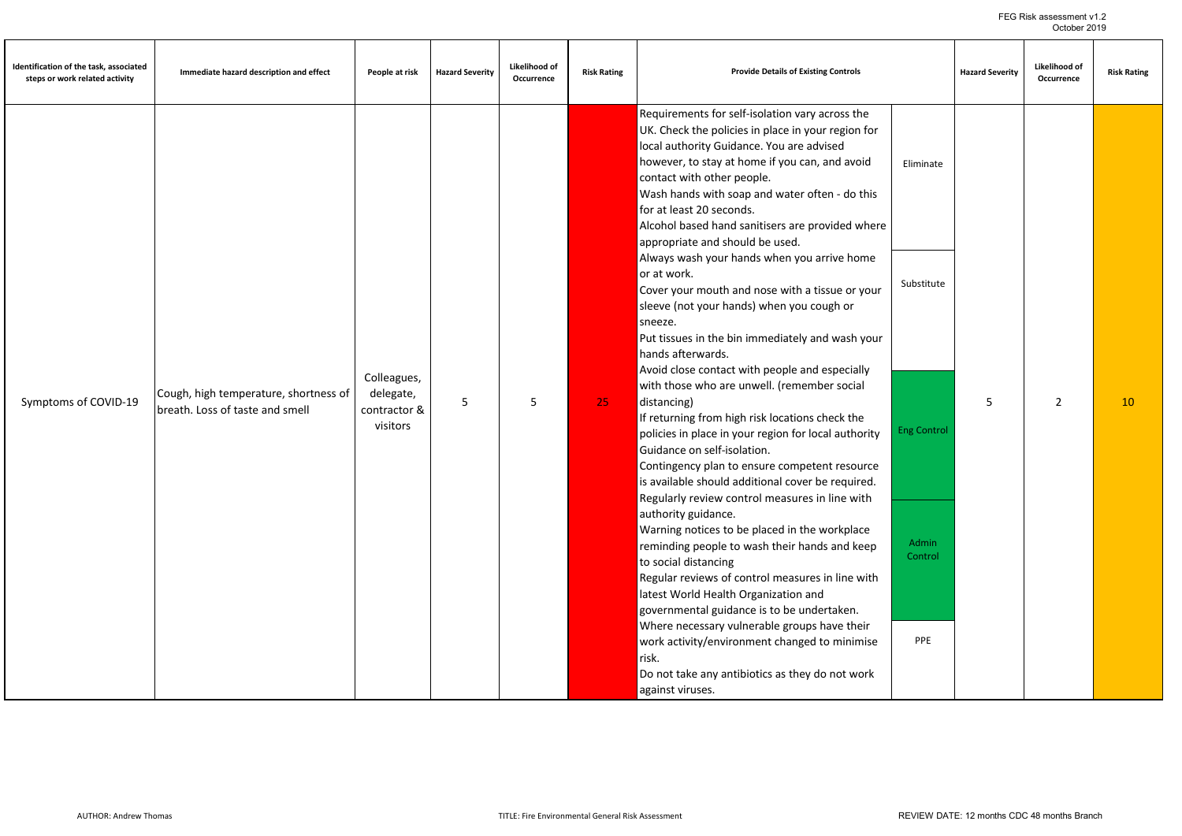| Identification of the task, associated<br>steps or work related activity | Immediate hazard description and effect                                  | People at risk                                       | <b>Hazard Severity</b> | Likelihood of<br>Occurrence | <b>Risk Rating</b> | <b>Provide Details of Existing Controls</b>                                                                                                                                                                                                                                                                                                                                                                                                                                                                                                                                                                                                                                                                                                                                                                                                                                                                                                                                                                                                                                                                                                                                                                                                                                                                              |                                                                          | <b>Hazard Severity</b> | Likelihood of<br>Occurrence | <b>Risk Rating</b> |
|--------------------------------------------------------------------------|--------------------------------------------------------------------------|------------------------------------------------------|------------------------|-----------------------------|--------------------|--------------------------------------------------------------------------------------------------------------------------------------------------------------------------------------------------------------------------------------------------------------------------------------------------------------------------------------------------------------------------------------------------------------------------------------------------------------------------------------------------------------------------------------------------------------------------------------------------------------------------------------------------------------------------------------------------------------------------------------------------------------------------------------------------------------------------------------------------------------------------------------------------------------------------------------------------------------------------------------------------------------------------------------------------------------------------------------------------------------------------------------------------------------------------------------------------------------------------------------------------------------------------------------------------------------------------|--------------------------------------------------------------------------|------------------------|-----------------------------|--------------------|
| Symptoms of COVID-19                                                     | Cough, high temperature, shortness of<br>breath. Loss of taste and smell | Colleagues,<br>delegate,<br>contractor &<br>visitors | 5                      | 5                           | 25                 | Requirements for self-isolation vary across the<br>UK. Check the policies in place in your region for<br>local authority Guidance. You are advised<br>however, to stay at home if you can, and avoid<br>contact with other people.<br>Wash hands with soap and water often - do this<br>for at least 20 seconds.<br>Alcohol based hand sanitisers are provided where<br>appropriate and should be used.<br>Always wash your hands when you arrive home<br>or at work.<br>Cover your mouth and nose with a tissue or your<br>sleeve (not your hands) when you cough or<br>sneeze.<br>Put tissues in the bin immediately and wash your<br>hands afterwards.<br>Avoid close contact with people and especially<br>with those who are unwell. (remember social<br>distancing)<br>If returning from high risk locations check the<br>policies in place in your region for local authority<br>Guidance on self-isolation.<br>Contingency plan to ensure competent resource<br>is available should additional cover be required.<br>Regularly review control measures in line with<br>authority guidance.<br>Warning notices to be placed in the workplace<br>reminding people to wash their hands and keep<br>to social distancing<br>Regular reviews of control measures in line with<br>latest World Health Organization and | Eliminate<br>Substitute<br><b>Eng Control</b><br><b>Admin</b><br>Control | 5                      | $\overline{2}$              | 10                 |
|                                                                          |                                                                          |                                                      |                        |                             |                    | governmental guidance is to be undertaken.<br>Where necessary vulnerable groups have their<br>work activity/environment changed to minimise<br>risk.<br>Do not take any antibiotics as they do not work<br>against viruses.                                                                                                                                                                                                                                                                                                                                                                                                                                                                                                                                                                                                                                                                                                                                                                                                                                                                                                                                                                                                                                                                                              | PPE                                                                      |                        |                             |                    |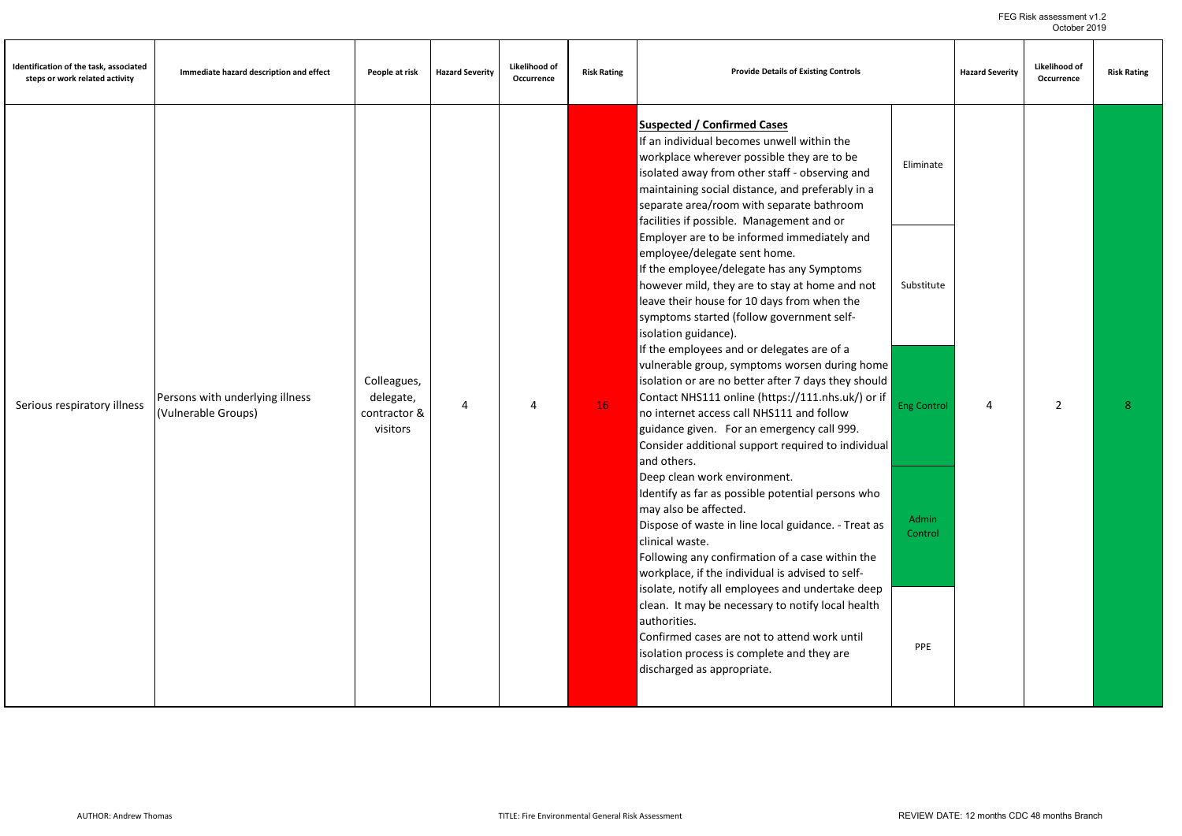| Identification of the task, associated<br>steps or work related activity | Immediate hazard description and effect                | People at risk                                       | <b>Hazard Severity</b> | Likelihood of<br>Occurrence | <b>Risk Rating</b> | <b>Provide Details of Existing Controls</b>                                                                                                                                                                                                                                                                                                                                                                                                                                                                                                                                                                                                                                                                                                                                                                                                                                                                                                                                                                                                                                                                                                                                                                                                                                                                                                                                                                                                                                                                                                                     |                                                                          | <b>Hazard Severity</b> | Likelihood of<br>Occurrence | <b>Risk Rating</b> |
|--------------------------------------------------------------------------|--------------------------------------------------------|------------------------------------------------------|------------------------|-----------------------------|--------------------|-----------------------------------------------------------------------------------------------------------------------------------------------------------------------------------------------------------------------------------------------------------------------------------------------------------------------------------------------------------------------------------------------------------------------------------------------------------------------------------------------------------------------------------------------------------------------------------------------------------------------------------------------------------------------------------------------------------------------------------------------------------------------------------------------------------------------------------------------------------------------------------------------------------------------------------------------------------------------------------------------------------------------------------------------------------------------------------------------------------------------------------------------------------------------------------------------------------------------------------------------------------------------------------------------------------------------------------------------------------------------------------------------------------------------------------------------------------------------------------------------------------------------------------------------------------------|--------------------------------------------------------------------------|------------------------|-----------------------------|--------------------|
| Serious respiratory illness                                              | Persons with underlying illness<br>(Vulnerable Groups) | Colleagues,<br>delegate,<br>contractor &<br>visitors | 4                      | 4                           | 16                 | <b>Suspected / Confirmed Cases</b><br>If an individual becomes unwell within the<br>workplace wherever possible they are to be<br>isolated away from other staff - observing and<br>maintaining social distance, and preferably in a<br>separate area/room with separate bathroom<br>facilities if possible. Management and or<br>Employer are to be informed immediately and<br>employee/delegate sent home.<br>If the employee/delegate has any Symptoms<br>however mild, they are to stay at home and not<br>leave their house for 10 days from when the<br>symptoms started (follow government self-<br>isolation guidance).<br>If the employees and or delegates are of a<br>vulnerable group, symptoms worsen during home<br>isolation or are no better after 7 days they should<br>Contact NHS111 online (https://111.nhs.uk/) or if<br>no internet access call NHS111 and follow<br>guidance given. For an emergency call 999.<br>Consider additional support required to individual<br>and others.<br>Deep clean work environment.<br>Identify as far as possible potential persons who<br>may also be affected.<br>Dispose of waste in line local guidance. - Treat as<br>clinical waste.<br>Following any confirmation of a case within the<br>workplace, if the individual is advised to self-<br>isolate, notify all employees and undertake deep<br>clean. It may be necessary to notify local health<br>authorities.<br>Confirmed cases are not to attend work until<br>isolation process is complete and they are<br>discharged as appropriate. | Eliminate<br>Substitute<br><b>Eng Control</b><br>Admin<br>Control<br>PPE | 4                      | $\overline{2}$              | 8                  |
|                                                                          |                                                        |                                                      |                        |                             |                    |                                                                                                                                                                                                                                                                                                                                                                                                                                                                                                                                                                                                                                                                                                                                                                                                                                                                                                                                                                                                                                                                                                                                                                                                                                                                                                                                                                                                                                                                                                                                                                 |                                                                          |                        |                             |                    |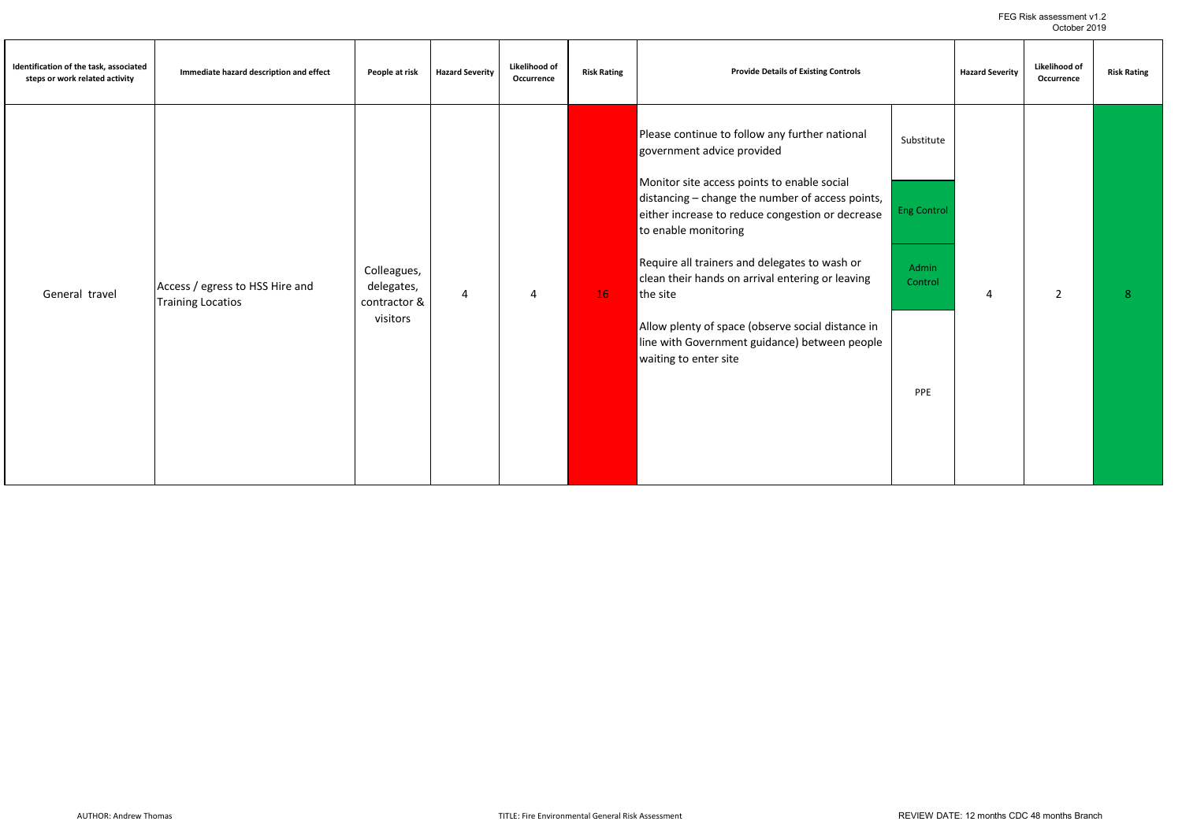| Identification of the task, associated<br>steps or work related activity | Immediate hazard description and effect                     | People at risk                                        | <b>Hazard Severity</b> | Likelihood of<br>Occurrence | <b>Risk Rating</b> | <b>Provide Details of Existing Controls</b>                                                                                                                                                                                                                                                                                                                                                                                                                                                                 |                                                             | <b>Hazard Severity</b> | Likelihood of<br>Occurrence | <b>Risk Rating</b> |
|--------------------------------------------------------------------------|-------------------------------------------------------------|-------------------------------------------------------|------------------------|-----------------------------|--------------------|-------------------------------------------------------------------------------------------------------------------------------------------------------------------------------------------------------------------------------------------------------------------------------------------------------------------------------------------------------------------------------------------------------------------------------------------------------------------------------------------------------------|-------------------------------------------------------------|------------------------|-----------------------------|--------------------|
| General travel                                                           | Access / egress to HSS Hire and<br><b>Training Locatios</b> | Colleagues,<br>delegates,<br>contractor &<br>visitors | $\overline{4}$         | 4                           | 16                 | Please continue to follow any further national<br>government advice provided<br>Monitor site access points to enable social<br>distancing - change the number of access points,<br>either increase to reduce congestion or decrease<br>to enable monitoring<br>Require all trainers and delegates to wash or<br>clean their hands on arrival entering or leaving<br>the site<br>Allow plenty of space (observe social distance in<br>line with Government guidance) between people<br>waiting to enter site | Substitute<br><b>Eng Control</b><br>Admin<br>Control<br>PPE | 4                      | $\overline{2}$              | 8                  |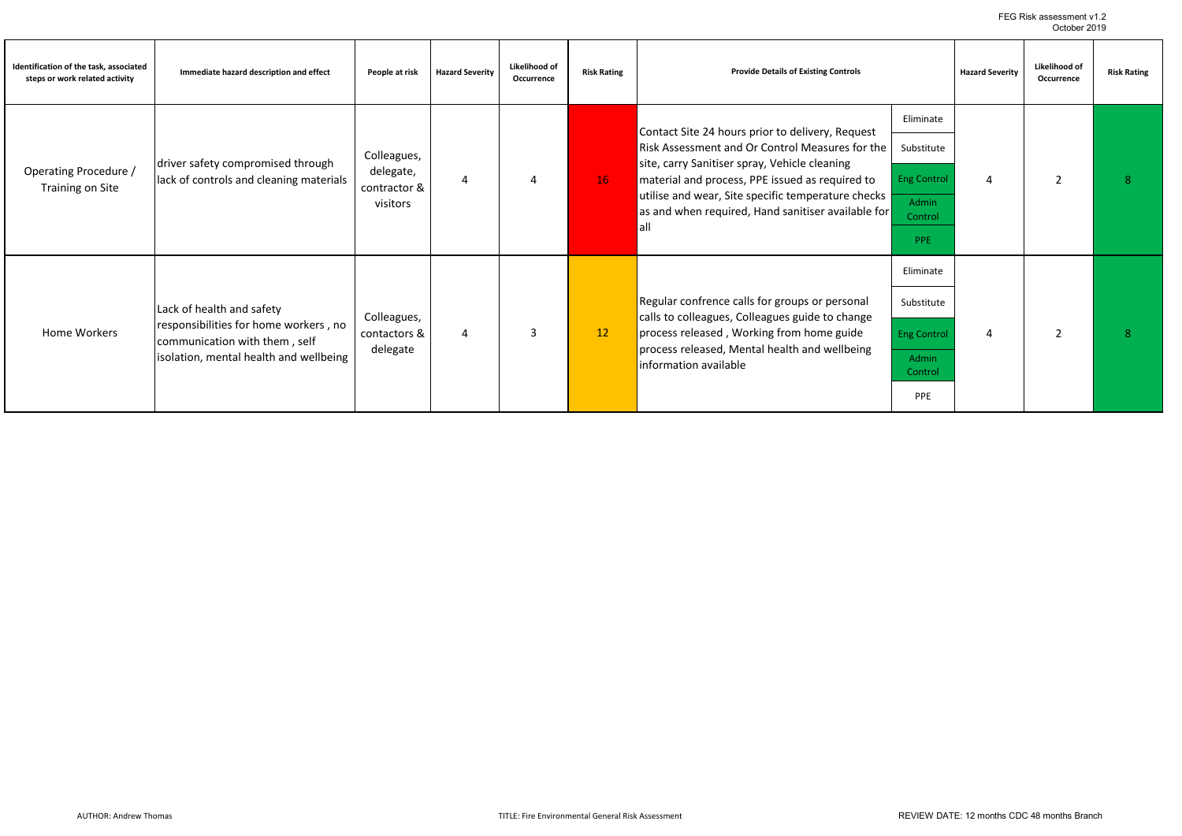FEG Risk assessment v1.2 October 2019

| Identification of the task, associated<br>steps or work related activity | Immediate hazard description and effect                                                                                                       | People at risk                                       | <b>Hazard Severity</b> | Likelihood of<br>Occurrence | <b>Risk Rating</b> | <b>Provide Details of Existing Controls</b>                                                                                                                                                                                                                                                                                |                                                                                 | <b>Hazard Severity</b> | Likelihood of<br>Occurrence | <b>Risk Rating</b> |
|--------------------------------------------------------------------------|-----------------------------------------------------------------------------------------------------------------------------------------------|------------------------------------------------------|------------------------|-----------------------------|--------------------|----------------------------------------------------------------------------------------------------------------------------------------------------------------------------------------------------------------------------------------------------------------------------------------------------------------------------|---------------------------------------------------------------------------------|------------------------|-----------------------------|--------------------|
| Operating Procedure /<br>Training on Site                                | driver safety compromised through<br>lack of controls and cleaning materials                                                                  | Colleagues,<br>delegate,<br>contractor &<br>visitors | 4                      |                             | 16                 | Contact Site 24 hours prior to delivery, Request<br>Risk Assessment and Or Control Measures for the<br>site, carry Sanitiser spray, Vehicle cleaning<br>material and process, PPE issued as required to<br>utilise and wear, Site specific temperature checks<br>as and when required, Hand sanitiser available for<br>all | Eliminate<br>Substitute<br><b>Eng Control</b><br>Admin<br>Control<br>PPE        | Δ                      | $\overline{2}$              |                    |
| Home Workers                                                             | Lack of health and safety<br>responsibilities for home workers, no<br>communication with them, self<br>isolation, mental health and wellbeing | Colleagues,<br>contactors &<br>delegate              | $\overline{4}$         |                             | 12                 | Regular confrence calls for groups or personal<br>calls to colleagues, Colleagues guide to change<br>process released, Working from home guide<br>process released, Mental health and wellbeing<br>information available                                                                                                   | Eliminate<br>Substitute<br><b>Eng Control</b><br><b>Admin</b><br>Control<br>PPE | 4                      | $\overline{2}$              |                    |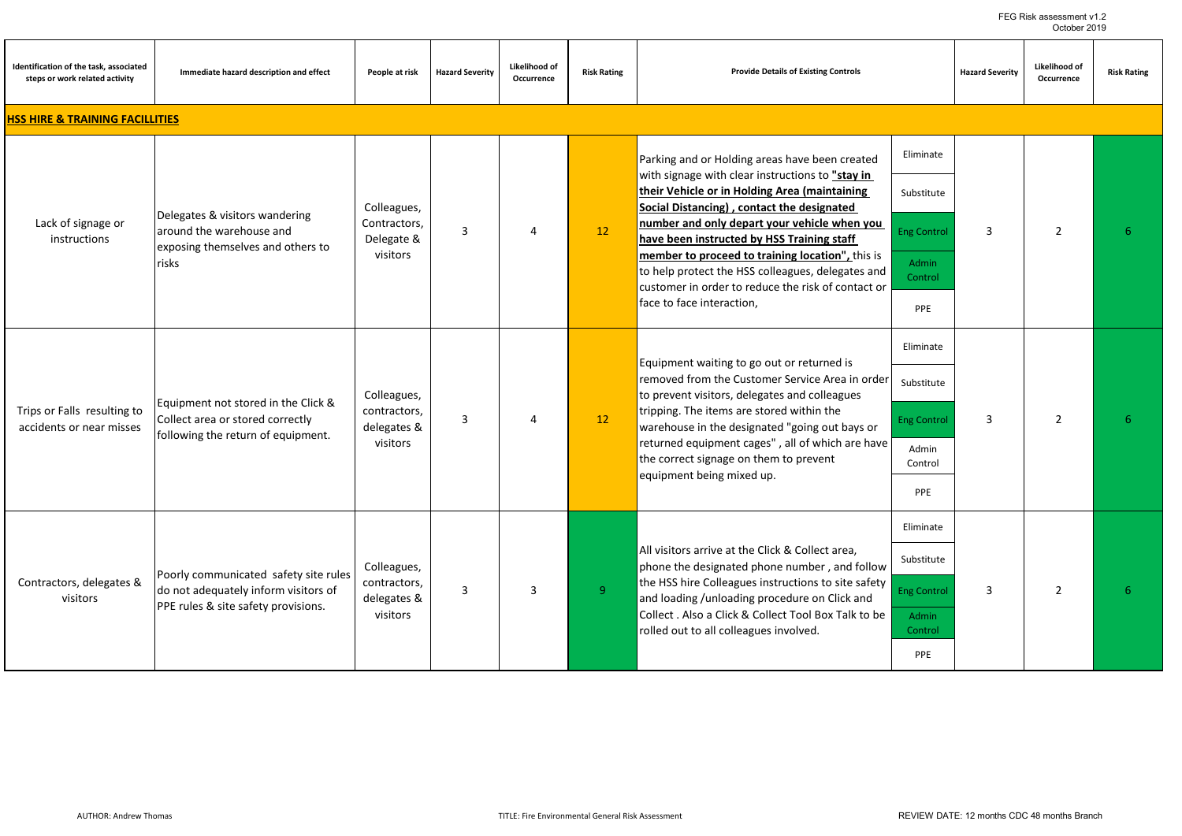| Identification of the task, associated<br>steps or work related activity | Immediate hazard description and effect                                                                              | People at risk                                         | <b>Hazard Severity</b> | Likelihood of<br>Occurrence | <b>Risk Rating</b> | <b>Provide Details of Existing Controls</b>                                                                                                                                                                                                                                                                                                                                                                                                                                                 |                                                                                 | <b>Hazard Severity</b> | <b>Likelihood of</b><br>Occurrence | <b>Risk Rating</b> |
|--------------------------------------------------------------------------|----------------------------------------------------------------------------------------------------------------------|--------------------------------------------------------|------------------------|-----------------------------|--------------------|---------------------------------------------------------------------------------------------------------------------------------------------------------------------------------------------------------------------------------------------------------------------------------------------------------------------------------------------------------------------------------------------------------------------------------------------------------------------------------------------|---------------------------------------------------------------------------------|------------------------|------------------------------------|--------------------|
| <b>HSS HIRE &amp; TRAINING FACILLITIES</b>                               |                                                                                                                      |                                                        |                        |                             |                    |                                                                                                                                                                                                                                                                                                                                                                                                                                                                                             |                                                                                 |                        |                                    |                    |
| Lack of signage or<br>instructions                                       | Delegates & visitors wandering<br>around the warehouse and<br>exposing themselves and others to<br>risks             | Colleagues,<br>Contractors,<br>Delegate &<br>visitors  | 3                      | $\Delta$                    | 12                 | Parking and or Holding areas have been created<br>with signage with clear instructions to "stay in<br>their Vehicle or in Holding Area (maintaining<br>Social Distancing), contact the designated<br>number and only depart your vehicle when you<br>have been instructed by HSS Training staff<br>member to proceed to training location", this is<br>to help protect the HSS colleagues, delegates and<br>customer in order to reduce the risk of contact or<br>face to face interaction, | Eliminate<br>Substitute<br><b>Eng Control</b><br><b>Admin</b><br>Control<br>PPE | 3                      | $\overline{2}$                     | 6                  |
| Trips or Falls resulting to<br>accidents or near misses                  | Equipment not stored in the Click &<br>Collect area or stored correctly<br>following the return of equipment.        | Colleagues,<br>contractors,<br>delegates &<br>visitors | 3                      | $\Delta$                    | 12                 | Equipment waiting to go out or returned is<br>removed from the Customer Service Area in order<br>to prevent visitors, delegates and colleagues<br>tripping. The items are stored within the<br>warehouse in the designated "going out bays or<br>returned equipment cages", all of which are have<br>the correct signage on them to prevent<br>equipment being mixed up.                                                                                                                    | Eliminate<br>Substitute<br><b>Eng Control</b><br>Admin<br>Control<br>PPE        | 3                      | $\overline{2}$                     | 6                  |
| Contractors, delegates &<br>visitors                                     | Poorly communicated safety site rules<br>do not adequately inform visitors of<br>PPE rules & site safety provisions. | Colleagues,<br>contractors,<br>delegates &<br>visitors | 3                      | $\overline{3}$              | 9 <sup>°</sup>     | All visitors arrive at the Click & Collect area,<br>phone the designated phone number, and follow<br>the HSS hire Colleagues instructions to site safety<br>and loading /unloading procedure on Click and<br>Collect . Also a Click & Collect Tool Box Talk to be<br>rolled out to all colleagues involved.                                                                                                                                                                                 | Eliminate<br>Substitute<br><b>Eng Control</b><br><b>Admin</b><br>Control<br>PPE | 3                      | $\overline{2}$                     | 6                  |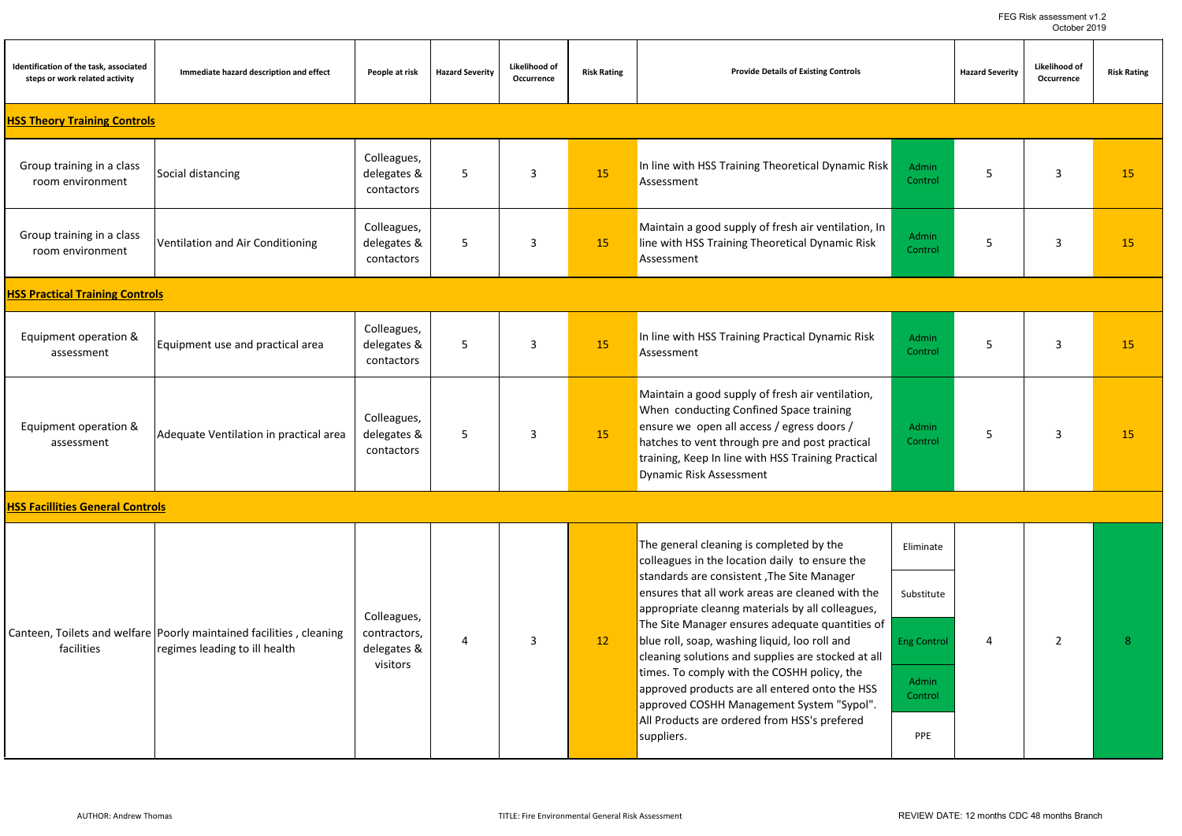| Identification of the task, associated<br>steps or work related activity | Immediate hazard description and effect                                                              | People at risk                                         | <b>Hazard Severity</b> | Likelihood of<br>Occurrence | <b>Risk Rating</b> | <b>Provide Details of Existing Controls</b>                                                                                                                                                                                                                                                          |                                               | <b>Hazard Severity</b> | Likelihood of<br>Occurrence | <b>Risk Rating</b> |
|--------------------------------------------------------------------------|------------------------------------------------------------------------------------------------------|--------------------------------------------------------|------------------------|-----------------------------|--------------------|------------------------------------------------------------------------------------------------------------------------------------------------------------------------------------------------------------------------------------------------------------------------------------------------------|-----------------------------------------------|------------------------|-----------------------------|--------------------|
| <b>HSS Theory Training Controls</b>                                      |                                                                                                      |                                                        |                        |                             |                    |                                                                                                                                                                                                                                                                                                      |                                               |                        |                             |                    |
| Group training in a class<br>room environment                            | Social distancing                                                                                    | Colleagues,<br>delegates &<br>contactors               | 5                      | 3                           | 15                 | In line with HSS Training Theoretical Dynamic Risk<br>Assessment                                                                                                                                                                                                                                     | <b>Admin</b><br>Control                       | 5                      | 3                           | 15                 |
| Group training in a class<br>room environment                            | Ventilation and Air Conditioning                                                                     | Colleagues,<br>delegates &<br>contactors               | 5                      | 3                           | 15                 | Maintain a good supply of fresh air ventilation, In<br>line with HSS Training Theoretical Dynamic Risk<br>Assessment                                                                                                                                                                                 | Admin<br>Control                              | 5                      | $\overline{3}$              | 15                 |
| <b>HSS Practical Training Controls</b>                                   |                                                                                                      |                                                        |                        |                             |                    |                                                                                                                                                                                                                                                                                                      |                                               |                        |                             |                    |
| Equipment operation &<br>assessment                                      | Equipment use and practical area                                                                     | Colleagues,<br>delegates &<br>contactors               | 5                      | 3                           | 15                 | In line with HSS Training Practical Dynamic Risk<br>Assessment                                                                                                                                                                                                                                       | <b>Admin</b><br>Control                       | 5                      | 3                           | 15                 |
| Equipment operation &<br>assessment                                      | Adequate Ventilation in practical area                                                               | Colleagues,<br>delegates &<br>contactors               | 5                      | 3                           | 15                 | Maintain a good supply of fresh air ventilation,<br>When conducting Confined Space training<br>ensure we open all access / egress doors /<br>hatches to vent through pre and post practical<br>training, Keep In line with HSS Training Practical<br>Dynamic Risk Assessment                         | Admin<br>Control                              | 5                      | $\overline{3}$              | 15                 |
| <b>HSS Facillities General Controls</b>                                  |                                                                                                      |                                                        |                        |                             |                    |                                                                                                                                                                                                                                                                                                      |                                               |                        |                             |                    |
|                                                                          |                                                                                                      |                                                        |                        |                             |                    | The general cleaning is completed by the<br>colleagues in the location daily to ensure the<br>standards are consistent, The Site Manager                                                                                                                                                             | Eliminate                                     |                        |                             |                    |
|                                                                          |                                                                                                      |                                                        |                        |                             |                    | ensures that all work areas are cleaned with the<br>appropriate cleanng materials by all colleagues,                                                                                                                                                                                                 | Substitute                                    |                        |                             |                    |
| facilities                                                               | Canteen, Toilets and welfare Poorly maintained facilities, cleaning<br>regimes leading to ill health | Colleagues,<br>contractors,<br>delegates &<br>visitors | 4                      | 3                           | 12                 | The Site Manager ensures adequate quantities of<br>blue roll, soap, washing liquid, loo roll and<br>cleaning solutions and supplies are stocked at all<br>times. To comply with the COSHH policy, the<br>approved products are all entered onto the HSS<br>approved COSHH Management System "Sypol". | <b>Eng Control</b><br><b>Admin</b><br>Control | 4                      | $\overline{2}$              | 8                  |
|                                                                          |                                                                                                      |                                                        |                        |                             |                    | All Products are ordered from HSS's prefered<br>suppliers.                                                                                                                                                                                                                                           | PPE                                           |                        |                             |                    |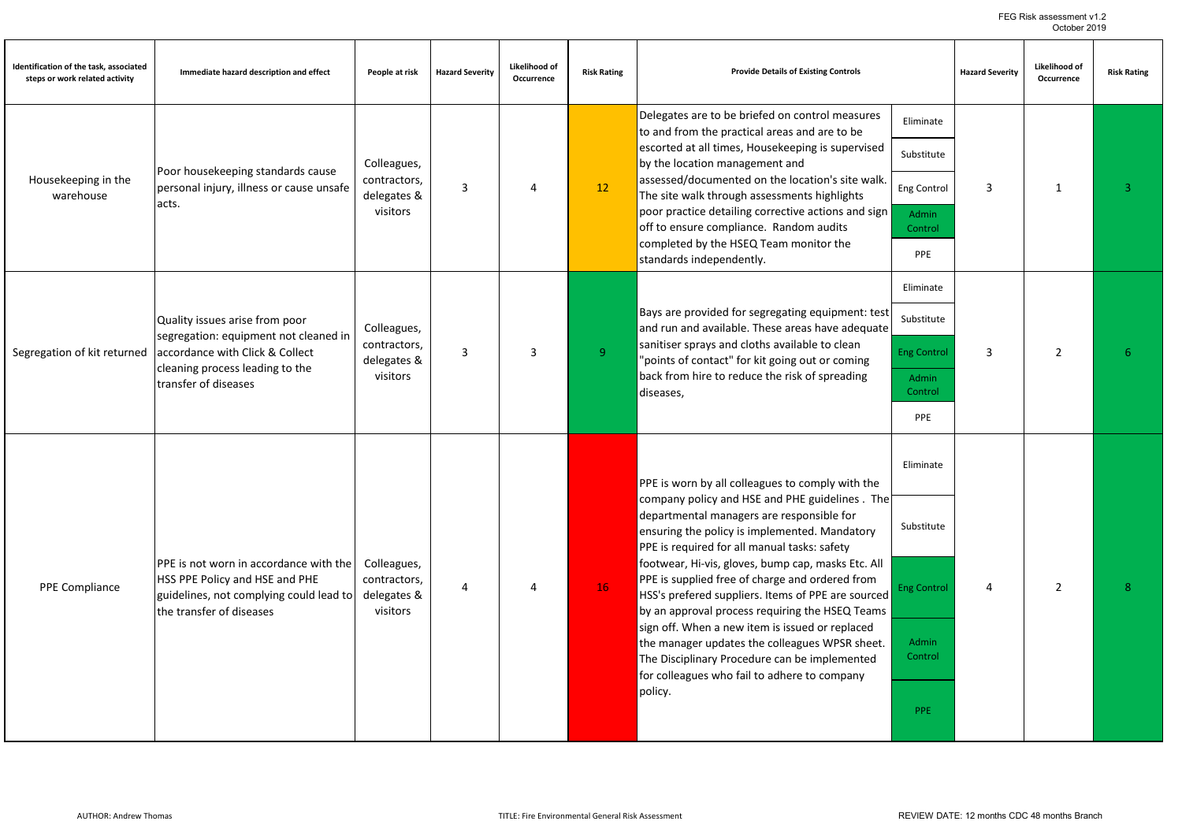FEG Risk assessment v1.2 October 2019

| Identification of the task, associated<br>steps or work related activity | Immediate hazard description and effect                                  | People at risk                          | <b>Hazard Severity</b> | Likelihood of<br>Occurrence | <b>Risk Rating</b> | <b>Provide Details of Existing Controls</b>                                                                                                           |                    | <b>Hazard Severity</b> | Likelihood of<br>Occurrence | <b>Risk Rating</b> |
|--------------------------------------------------------------------------|--------------------------------------------------------------------------|-----------------------------------------|------------------------|-----------------------------|--------------------|-------------------------------------------------------------------------------------------------------------------------------------------------------|--------------------|------------------------|-----------------------------|--------------------|
|                                                                          |                                                                          |                                         |                        |                             |                    | Delegates are to be briefed on control measures<br>to and from the practical areas and are to be                                                      | Eliminate          |                        |                             |                    |
|                                                                          | Poor housekeeping standards cause                                        | Colleagues,                             |                        |                             |                    | escorted at all times, Housekeeping is supervised<br>by the location management and                                                                   | Substitute         |                        |                             |                    |
| Housekeeping in the<br>warehouse                                         | personal injury, illness or cause unsafe<br>acts.                        | contractors,<br>delegates &             | 3                      | 4                           | 12                 | assessed/documented on the location's site walk.<br>The site walk through assessments highlights                                                      | Eng Control        | 3                      | 1                           | 3                  |
|                                                                          |                                                                          | visitors                                |                        |                             |                    | poor practice detailing corrective actions and sign<br>off to ensure compliance. Random audits                                                        | Admin<br>Control   |                        |                             |                    |
|                                                                          |                                                                          |                                         |                        |                             |                    | completed by the HSEQ Team monitor the<br>standards independently.                                                                                    | PPE                |                        |                             |                    |
|                                                                          |                                                                          |                                         |                        |                             |                    |                                                                                                                                                       | Eliminate          |                        |                             |                    |
|                                                                          | Quality issues arise from poor<br>segregation: equipment not cleaned in  | Colleagues,                             |                        |                             |                    | Bays are provided for segregating equipment: test<br>and run and available. These areas have adequate                                                 | Substitute         |                        |                             | 6                  |
| Segregation of kit returned                                              | accordance with Click & Collect<br>cleaning process leading to the       | contractors,<br>delegates &<br>visitors | 3                      | 3                           | 9 <sup>°</sup>     | sanitiser sprays and cloths available to clean<br>"points of contact" for kit going out or coming<br>back from hire to reduce the risk of spreading   | <b>Eng Control</b> | 3                      | $\overline{2}$              |                    |
|                                                                          | transfer of diseases                                                     |                                         |                        |                             |                    | diseases,                                                                                                                                             | Admin<br>Control   |                        |                             |                    |
|                                                                          |                                                                          |                                         |                        |                             |                    |                                                                                                                                                       | PPE                |                        |                             |                    |
|                                                                          |                                                                          |                                         |                        |                             |                    |                                                                                                                                                       | Eliminate          |                        |                             |                    |
|                                                                          |                                                                          |                                         |                        |                             |                    | PPE is worn by all colleagues to comply with the<br>company policy and HSE and PHE guidelines. The                                                    |                    |                        |                             |                    |
|                                                                          |                                                                          |                                         |                        |                             |                    | departmental managers are responsible for<br>ensuring the policy is implemented. Mandatory                                                            | Substitute         |                        |                             |                    |
|                                                                          | PPE is not worn in accordance with the<br>HSS PPE Policy and HSE and PHE | Colleagues,<br>contractors,             |                        |                             |                    | PPE is required for all manual tasks: safety<br>footwear, Hi-vis, gloves, bump cap, masks Etc. All<br>PPE is supplied free of charge and ordered from |                    |                        |                             |                    |
| PPE Compliance                                                           | guidelines, not complying could lead to<br>the transfer of diseases      | delegates &<br>visitors                 | 4                      | 4                           | 16                 | HSS's prefered suppliers. Items of PPE are sourced<br>by an approval process requiring the HSEQ Teams                                                 | <b>Eng Control</b> | $\overline{a}$         | $\overline{2}$              | $\mathbf{R}$       |
|                                                                          |                                                                          |                                         |                        |                             |                    | sign off. When a new item is issued or replaced<br>the manager updates the colleagues WPSR sheet.                                                     | Admin              |                        |                             |                    |
|                                                                          |                                                                          |                                         |                        |                             |                    | The Disciplinary Procedure can be implemented<br>for colleagues who fail to adhere to company                                                         | Control            |                        |                             |                    |
|                                                                          |                                                                          |                                         |                        |                             |                    | policy.                                                                                                                                               | PPE                |                        |                             |                    |
|                                                                          |                                                                          |                                         |                        |                             |                    |                                                                                                                                                       |                    |                        |                             |                    |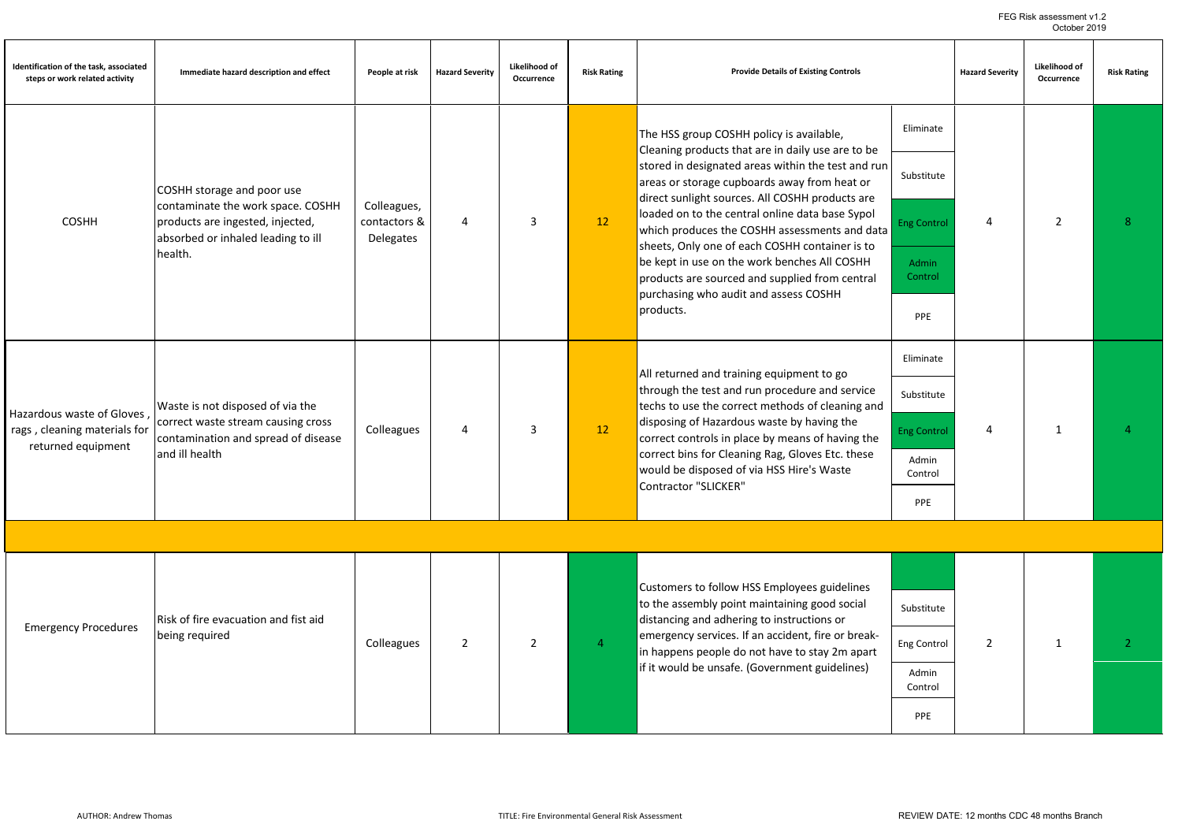FEG Risk assessment v1.2 October 2019

| Identification of the task, associated<br>steps or work related activity | Immediate hazard description and effect                                                                                         | People at risk                                  | <b>Hazard Severity</b> | Likelihood of<br>Occurrence | <b>Risk Rating</b> | <b>Provide Details of Existing Controls</b>                                                                                                                                                                                                                                                                                                                                |                    | <b>Hazard Severity</b> | Likelihood of<br>Occurrence | <b>Risk Rating</b> |
|--------------------------------------------------------------------------|---------------------------------------------------------------------------------------------------------------------------------|-------------------------------------------------|------------------------|-----------------------------|--------------------|----------------------------------------------------------------------------------------------------------------------------------------------------------------------------------------------------------------------------------------------------------------------------------------------------------------------------------------------------------------------------|--------------------|------------------------|-----------------------------|--------------------|
|                                                                          |                                                                                                                                 |                                                 |                        |                             |                    | The HSS group COSHH policy is available,<br>Cleaning products that are in daily use are to be                                                                                                                                                                                                                                                                              | Eliminate          |                        |                             |                    |
|                                                                          | COSHH storage and poor use                                                                                                      |                                                 |                        |                             |                    | stored in designated areas within the test and run<br>areas or storage cupboards away from heat or<br>direct sunlight sources. All COSHH products are                                                                                                                                                                                                                      | Substitute         |                        |                             |                    |
| <b>COSHH</b>                                                             | contaminate the work space. COSHH<br>products are ingested, injected,<br>absorbed or inhaled leading to ill                     | Colleagues,<br>contactors &<br><b>Delegates</b> | $\overline{4}$         | 3                           | 12                 | loaded on to the central online data base Sypol<br>which produces the COSHH assessments and data                                                                                                                                                                                                                                                                           | <b>Eng Control</b> | 4                      | $\overline{2}$              | 8                  |
|                                                                          | health.                                                                                                                         |                                                 |                        |                             |                    | sheets, Only one of each COSHH container is to<br>be kept in use on the work benches All COSHH<br>products are sourced and supplied from central                                                                                                                                                                                                                           | Admin<br>Control   |                        |                             |                    |
|                                                                          |                                                                                                                                 |                                                 |                        |                             |                    | purchasing who audit and assess COSHH<br>products.                                                                                                                                                                                                                                                                                                                         | PPE                |                        |                             |                    |
| Hazardous waste of Gloves,                                               |                                                                                                                                 |                                                 |                        | 3                           |                    | All returned and training equipment to go<br>through the test and run procedure and service<br>techs to use the correct methods of cleaning and<br>disposing of Hazardous waste by having the<br>correct controls in place by means of having the<br>correct bins for Cleaning Rag, Gloves Etc. these<br>would be disposed of via HSS Hire's Waste<br>Contractor "SLICKER" | Eliminate          |                        |                             |                    |
|                                                                          | Waste is not disposed of via the<br>correct waste stream causing cross<br>contamination and spread of disease<br>and ill health | Colleagues                                      | 4                      |                             |                    |                                                                                                                                                                                                                                                                                                                                                                            | Substitute         |                        |                             |                    |
| rags, cleaning materials for<br>returned equipment                       |                                                                                                                                 |                                                 |                        |                             | 12                 |                                                                                                                                                                                                                                                                                                                                                                            | <b>Eng Control</b> | 4                      | $\mathbf{1}$                | $\Delta$           |
|                                                                          |                                                                                                                                 |                                                 |                        |                             |                    |                                                                                                                                                                                                                                                                                                                                                                            | Admin<br>Control   |                        |                             |                    |
|                                                                          |                                                                                                                                 |                                                 |                        |                             |                    |                                                                                                                                                                                                                                                                                                                                                                            | PPE                |                        |                             |                    |
|                                                                          |                                                                                                                                 |                                                 |                        |                             |                    |                                                                                                                                                                                                                                                                                                                                                                            |                    |                        |                             |                    |
|                                                                          |                                                                                                                                 |                                                 |                        |                             |                    | Customers to follow HSS Employees guidelines                                                                                                                                                                                                                                                                                                                               |                    |                        |                             |                    |
|                                                                          | Risk of fire evacuation and fist aid                                                                                            |                                                 |                        |                             |                    | to the assembly point maintaining good social<br>distancing and adhering to instructions or                                                                                                                                                                                                                                                                                | Substitute         |                        |                             |                    |
| <b>Emergency Procedures</b>                                              | being required                                                                                                                  | Colleagues                                      | $\overline{2}$         | $\overline{2}$              | $\overline{4}$     | emergency services. If an accident, fire or break-<br>in happens people do not have to stay 2m apart                                                                                                                                                                                                                                                                       | Eng Control        | $\overline{2}$         | $\mathbf{1}$                | $\overline{2}$     |
|                                                                          |                                                                                                                                 |                                                 |                        |                             |                    | if it would be unsafe. (Government guidelines)                                                                                                                                                                                                                                                                                                                             | Admin<br>Control   |                        |                             |                    |
|                                                                          |                                                                                                                                 |                                                 |                        |                             |                    |                                                                                                                                                                                                                                                                                                                                                                            | PPE                |                        |                             |                    |